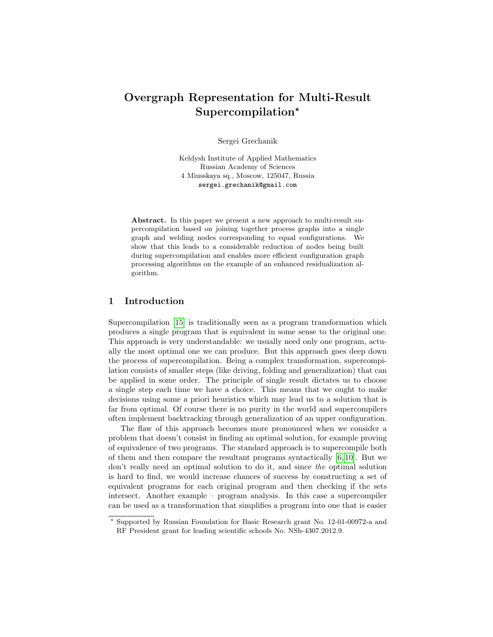# Overgraph Representation for Multi-Result  $Supercompilation*$

Sergei Grechanik

Keldysh Institute of Applied Mathematics Russian Academy of Sciences 4 Miusskaya sq., Moscow, 125047, Russia sergei.grechanik@gmail.com

Abstract. In this paper we present a new approach to multi-result supercompilation based on joining together process graphs into a single graph and welding nodes corresponding to equal configurations. We show that this leads to a considerable reduction of nodes being built during supercompilation and enables more efficient configuration graph processing algorithms on the example of an enhanced residualization algorithm.

# 1 Introduction

Supercompilation [\[15\]](#page-17-0) is traditionally seen as a program transformation which produces a single program that is equivalent in some sense to the original one. This approach is very understandable: we usually need only one program, actually the most optimal one we can produce. But this approach goes deep down the process of supercompilation. Being a complex transformation, supercompilation consists of smaller steps (like driving, folding and generalization) that can be applied in some order. The principle of single result dictates us to choose a single step each time we have a choice. This means that we ought to make decisions using some a priori heuristics which may lead us to a solution that is far from optimal. Of course there is no purity in the world and supercompilers often implement backtracking through generalization of an upper configuration.

The flaw of this approach becomes more pronounced when we consider a problem that doesn't consist in finding an optimal solution, for example proving of equivalence of two programs. The standard approach is to supercompile both of them and then compare the resultant programs syntactically [\[6,](#page-16-0) [10\]](#page-16-1). But we don't really need an optimal solution to do it, and since the optimal solution is hard to find, we would increase chances of success by constructing a set of equivalent programs for each original program and then checking if the sets intersect. Another example – program analysis. In this case a supercompiler can be used as a transformation that simplifies a program into one that is easier

<sup>⋆</sup> Supported by Russian Foundation for Basic Research grant No. 12-01-00972-a and RF President grant for leading scientific schools No. NSh-4307.2012.9.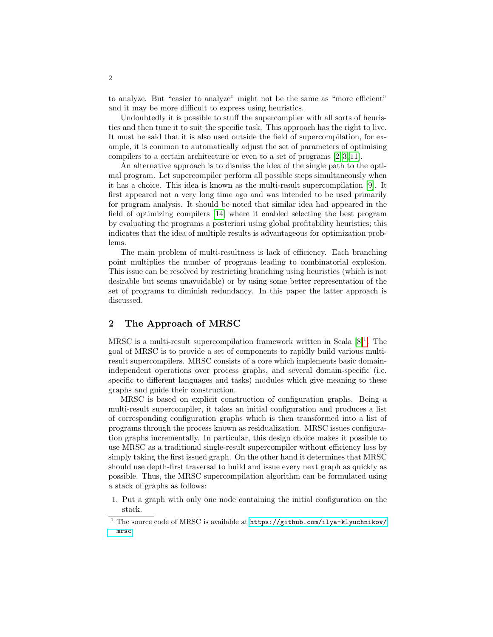to analyze. But "easier to analyze" might not be the same as "more efficient" and it may be more difficult to express using heuristics.

Undoubtedly it is possible to stuff the supercompiler with all sorts of heuristics and then tune it to suit the specific task. This approach has the right to live. It must be said that it is also used outside the field of supercompilation, for example, it is common to automatically adjust the set of parameters of optimising compilers to a certain architecture or even to a set of programs [\[2,](#page-16-2) [3,](#page-16-3) [11\]](#page-16-4).

An alternative approach is to dismiss the idea of the single path to the optimal program. Let supercompiler perform all possible steps simultaneously when it has a choice. This idea is known as the multi-result supercompilation [\[9\]](#page-16-5). It first appeared not a very long time ago and was intended to be used primarily for program analysis. It should be noted that similar idea had appeared in the field of optimizing compilers [\[14\]](#page-17-1) where it enabled selecting the best program by evaluating the programs a posteriori using global profitability heuristics; this indicates that the idea of multiple results is advantageous for optimization problems.

The main problem of multi-resultness is lack of efficiency. Each branching point multiplies the number of programs leading to combinatorial explosion. This issue can be resolved by restricting branching using heuristics (which is not desirable but seems unavoidable) or by using some better representation of the set of programs to diminish redundancy. In this paper the latter approach is discussed.

# 2 The Approach of MRSC

MRSC is a multi-result supercompilation framework written in Scala  $[8]^1$  $[8]^1$  $[8]^1$ . The goal of MRSC is to provide a set of components to rapidly build various multiresult supercompilers. MRSC consists of a core which implements basic domainindependent operations over process graphs, and several domain-specific (i.e. specific to different languages and tasks) modules which give meaning to these graphs and guide their construction.

MRSC is based on explicit construction of configuration graphs. Being a multi-result supercompiler, it takes an initial configuration and produces a list of corresponding configuration graphs which is then transformed into a list of programs through the process known as residualization. MRSC issues configuration graphs incrementally. In particular, this design choice makes it possible to use MRSC as a traditional single-result supercompiler without efficiency loss by simply taking the first issued graph. On the other hand it determines that MRSC should use depth-first traversal to build and issue every next graph as quickly as possible. Thus, the MRSC supercompilation algorithm can be formulated using a stack of graphs as follows:

1. Put a graph with only one node containing the initial configuration on the stack.

<span id="page-1-0"></span><sup>&</sup>lt;sup>1</sup> The source code of MRSC is available at  $https://github.com/ilya-klyuchnikov/$ [mrsc](https://github.com/ilya-klyuchnikov/mrsc)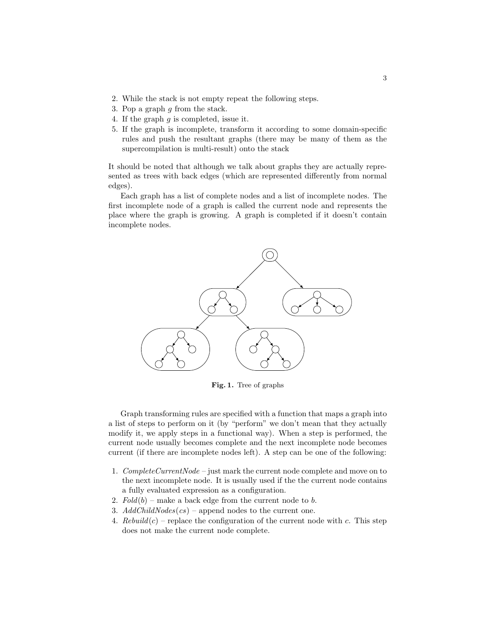- 2. While the stack is not empty repeat the following steps.
- 3. Pop a graph  $g$  from the stack.
- 4. If the graph  $g$  is completed, issue it.
- 5. If the graph is incomplete, transform it according to some domain-specific rules and push the resultant graphs (there may be many of them as the supercompilation is multi-result) onto the stack

It should be noted that although we talk about graphs they are actually represented as trees with back edges (which are represented differently from normal edges).

Each graph has a list of complete nodes and a list of incomplete nodes. The first incomplete node of a graph is called the current node and represents the place where the graph is growing. A graph is completed if it doesn't contain incomplete nodes.



<span id="page-2-0"></span>Fig. 1. Tree of graphs

Graph transforming rules are specified with a function that maps a graph into a list of steps to perform on it (by "perform" we don't mean that they actually modify it, we apply steps in a functional way). When a step is performed, the current node usually becomes complete and the next incomplete node becomes current (if there are incomplete nodes left). A step can be one of the following:

- 1. Complete CurrentNode just mark the current node complete and move on to the next incomplete node. It is usually used if the the current node contains a fully evaluated expression as a configuration.
- 2.  $Fold(b)$  make a back edge from the current node to b.
- 3.  $AddChildNodes(cs)$  append nodes to the current one.
- 4. Rebuild(c) replace the configuration of the current node with c. This step does not make the current node complete.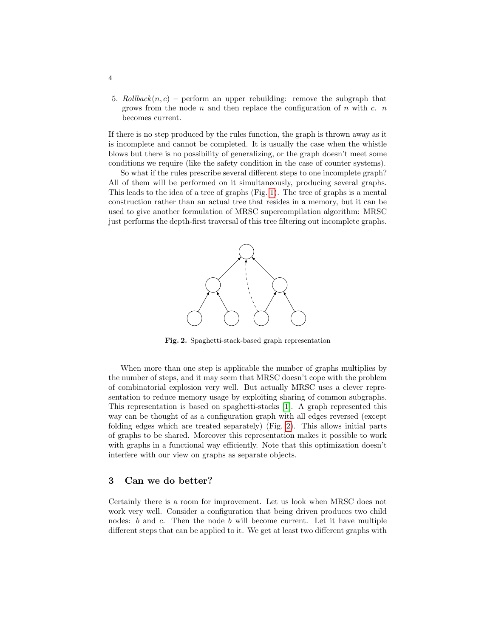5. Rollback $(n, c)$  – perform an upper rebuilding: remove the subgraph that grows from the node  $n$  and then replace the configuration of  $n$  with  $c$ .  $n$ becomes current.

If there is no step produced by the rules function, the graph is thrown away as it is incomplete and cannot be completed. It is usually the case when the whistle blows but there is no possibility of generalizing, or the graph doesn't meet some conditions we require (like the safety condition in the case of counter systems).

So what if the rules prescribe several different steps to one incomplete graph? All of them will be performed on it simultaneously, producing several graphs. This leads to the idea of a tree of graphs (Fig. [1\)](#page-2-0). The tree of graphs is a mental construction rather than an actual tree that resides in a memory, but it can be used to give another formulation of MRSC supercompilation algorithm: MRSC just performs the depth-first traversal of this tree filtering out incomplete graphs.



<span id="page-3-0"></span>Fig. 2. Spaghetti-stack-based graph representation

When more than one step is applicable the number of graphs multiplies by the number of steps, and it may seem that MRSC doesn't cope with the problem of combinatorial explosion very well. But actually MRSC uses a clever representation to reduce memory usage by exploiting sharing of common subgraphs. This representation is based on spaghetti-stacks [\[1\]](#page-16-7). A graph represented this way can be thought of as a configuration graph with all edges reversed (except folding edges which are treated separately) (Fig. [2\)](#page-3-0). This allows initial parts of graphs to be shared. Moreover this representation makes it possible to work with graphs in a functional way efficiently. Note that this optimization doesn't interfere with our view on graphs as separate objects.

### 3 Can we do better?

Certainly there is a room for improvement. Let us look when MRSC does not work very well. Consider a configuration that being driven produces two child nodes:  $b$  and  $c$ . Then the node  $b$  will become current. Let it have multiple different steps that can be applied to it. We get at least two different graphs with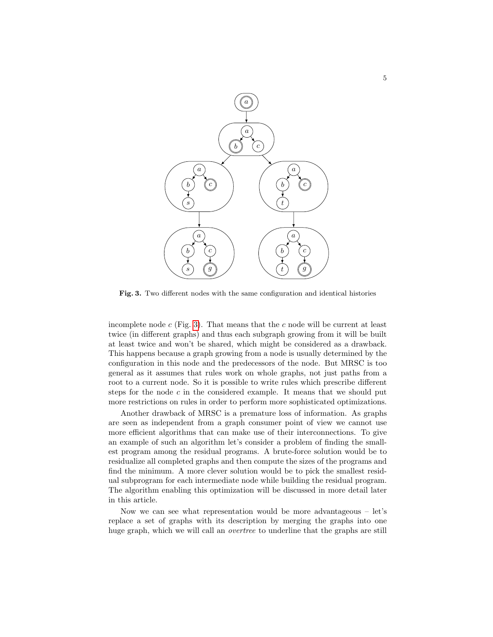

<span id="page-4-0"></span>Fig. 3. Two different nodes with the same configuration and identical histories

incomplete node  $c$  (Fig. [3\)](#page-4-0). That means that the  $c$  node will be current at least twice (in different graphs) and thus each subgraph growing from it will be built at least twice and won't be shared, which might be considered as a drawback. This happens because a graph growing from a node is usually determined by the configuration in this node and the predecessors of the node. But MRSC is too general as it assumes that rules work on whole graphs, not just paths from a root to a current node. So it is possible to write rules which prescribe different steps for the node  $c$  in the considered example. It means that we should put more restrictions on rules in order to perform more sophisticated optimizations.

Another drawback of MRSC is a premature loss of information. As graphs are seen as independent from a graph consumer point of view we cannot use more efficient algorithms that can make use of their interconnections. To give an example of such an algorithm let's consider a problem of finding the smallest program among the residual programs. A brute-force solution would be to residualize all completed graphs and then compute the sizes of the programs and find the minimum. A more clever solution would be to pick the smallest residual subprogram for each intermediate node while building the residual program. The algorithm enabling this optimization will be discussed in more detail later in this article.

Now we can see what representation would be more advantageous – let's replace a set of graphs with its description by merging the graphs into one huge graph, which we will call an overtree to underline that the graphs are still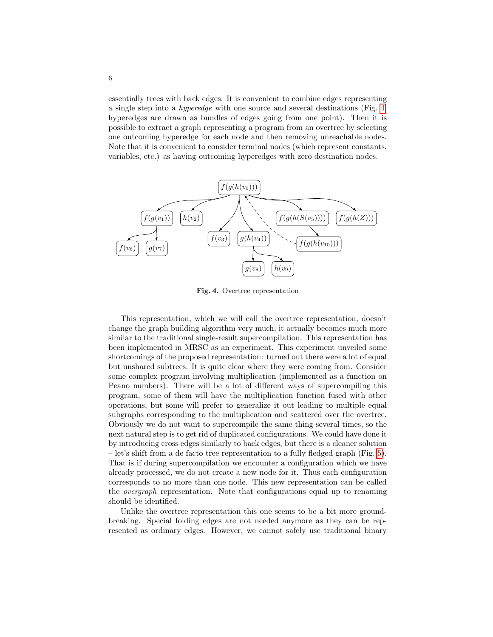essentially trees with back edges. It is convenient to combine edges representing a single step into a hyperedge with one source and several destinations (Fig. [4,](#page-5-0) hyperedges are drawn as bundles of edges going from one point). Then it is possible to extract a graph representing a program from an overtree by selecting one outcoming hyperedge for each node and then removing unreachable nodes. Note that it is convenient to consider terminal nodes (which represent constants, variables, etc.) as having outcoming hyperedges with zero destination nodes.



<span id="page-5-0"></span>Fig. 4. Overtree representation

This representation, which we will call the overtree representation, doesn't change the graph building algorithm very much, it actually becomes much more similar to the traditional single-result supercompilation. This representation has been implemented in MRSC as an experiment. This experiment unveiled some shortcomings of the proposed representation: turned out there were a lot of equal but unshared subtrees. It is quite clear where they were coming from. Consider some complex program involving multiplication (implemented as a function on Peano numbers). There will be a lot of different ways of supercompiling this program, some of them will have the multiplication function fused with other operations, but some will prefer to generalize it out leading to multiple equal subgraphs corresponding to the multiplication and scattered over the overtree. Obviously we do not want to supercompile the same thing several times, so the next natural step is to get rid of duplicated configurations. We could have done it by introducing cross edges similarly to back edges, but there is a cleaner solution – let's shift from a de facto tree representation to a fully fledged graph (Fig. [5\)](#page-6-0). That is if during supercompilation we encounter a configuration which we have already processed, we do not create a new node for it. Thus each configuration corresponds to no more than one node. This new representation can be called the overgraph representation. Note that configurations equal up to renaming should be identified.

Unlike the overtree representation this one seems to be a bit more groundbreaking. Special folding edges are not needed anymore as they can be represented as ordinary edges. However, we cannot safely use traditional binary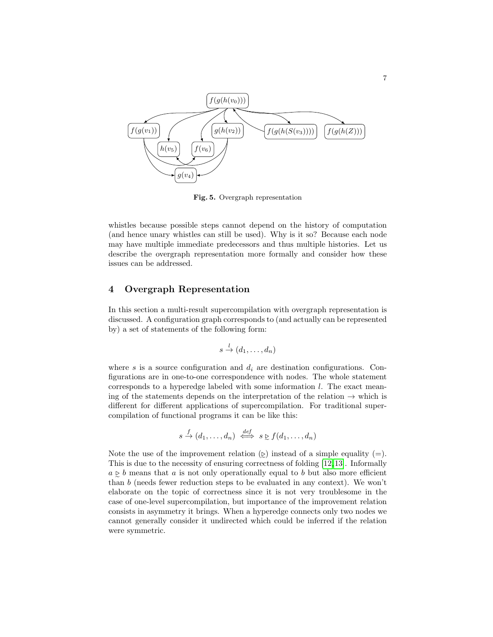

<span id="page-6-0"></span>Fig. 5. Overgraph representation

whistles because possible steps cannot depend on the history of computation (and hence unary whistles can still be used). Why is it so? Because each node may have multiple immediate predecessors and thus multiple histories. Let us describe the overgraph representation more formally and consider how these issues can be addressed.

# 4 Overgraph Representation

In this section a multi-result supercompilation with overgraph representation is discussed. A configuration graph corresponds to (and actually can be represented by) a set of statements of the following form:

$$
s \stackrel{l}{\rightarrow} (d_1, \ldots, d_n)
$$

where s is a source configuration and  $d_i$  are destination configurations. Configurations are in one-to-one correspondence with nodes. The whole statement corresponds to a hyperedge labeled with some information  $l$ . The exact meaning of the statements depends on the interpretation of the relation  $\rightarrow$  which is different for different applications of supercompilation. For traditional supercompilation of functional programs it can be like this:

$$
s \stackrel{f}{\rightarrow} (d_1, \ldots, d_n) \stackrel{def}{\iff} s \geq f(d_1, \ldots, d_n)
$$

Note the use of the improvement relation  $(\Sigma)$  instead of a simple equality (=). This is due to the necessity of ensuring correctness of folding [\[12,](#page-16-8)[13\]](#page-17-2). Informally  $a \geq b$  means that a is not only operationally equal to b but also more efficient than  $b$  (needs fewer reduction steps to be evaluated in any context). We won't elaborate on the topic of correctness since it is not very troublesome in the case of one-level supercompilation, but importance of the improvement relation consists in asymmetry it brings. When a hyperedge connects only two nodes we cannot generally consider it undirected which could be inferred if the relation were symmetric.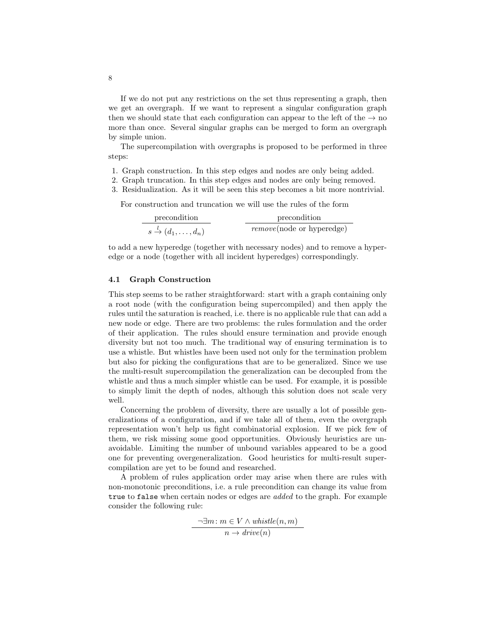If we do not put any restrictions on the set thus representing a graph, then we get an overgraph. If we want to represent a singular configuration graph then we should state that each configuration can appear to the left of the  $\rightarrow$  no more than once. Several singular graphs can be merged to form an overgraph by simple union.

The supercompilation with overgraphs is proposed to be performed in three steps:

- 1. Graph construction. In this step edges and nodes are only being added.
- 2. Graph truncation. In this step edges and nodes are only being removed.
- 3. Residualization. As it will be seen this step becomes a bit more nontrivial.

For construction and truncation we will use the rules of the form

| precondition                                     | precondition                      |
|--------------------------------------------------|-----------------------------------|
| $s \stackrel{l}{\rightarrow} (d_1, \ldots, d_n)$ | <i>remove</i> (node or hyperedge) |

to add a new hyperedge (together with necessary nodes) and to remove a hyperedge or a node (together with all incident hyperedges) correspondingly.

#### 4.1 Graph Construction

This step seems to be rather straightforward: start with a graph containing only a root node (with the configuration being supercompiled) and then apply the rules until the saturation is reached, i.e. there is no applicable rule that can add a new node or edge. There are two problems: the rules formulation and the order of their application. The rules should ensure termination and provide enough diversity but not too much. The traditional way of ensuring termination is to use a whistle. But whistles have been used not only for the termination problem but also for picking the configurations that are to be generalized. Since we use the multi-result supercompilation the generalization can be decoupled from the whistle and thus a much simpler whistle can be used. For example, it is possible to simply limit the depth of nodes, although this solution does not scale very well.

Concerning the problem of diversity, there are usually a lot of possible generalizations of a configuration, and if we take all of them, even the overgraph representation won't help us fight combinatorial explosion. If we pick few of them, we risk missing some good opportunities. Obviously heuristics are unavoidable. Limiting the number of unbound variables appeared to be a good one for preventing overgeneralization. Good heuristics for multi-result supercompilation are yet to be found and researched.

A problem of rules application order may arise when there are rules with non-monotonic preconditions, i.e. a rule precondition can change its value from true to false when certain nodes or edges are *added* to the graph. For example consider the following rule:

> $\neg \exists m : m \in V \land \textit{whistle}(n, m)$  $n \rightarrow drive(n)$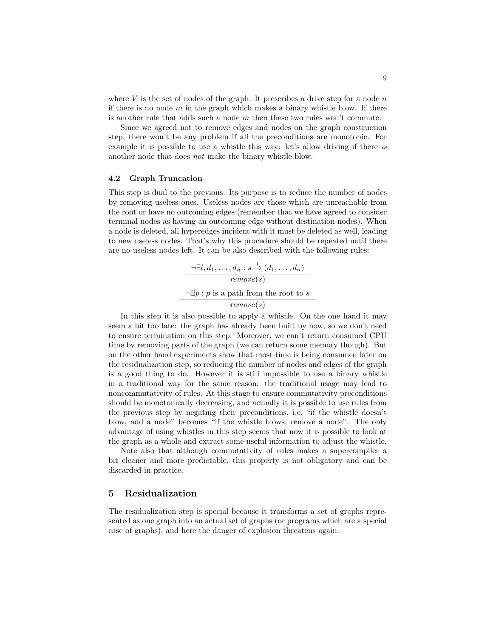where  $V$  is the set of nodes of the graph. It prescribes a drive step for a node  $n$ if there is no node  $m$  in the graph which makes a binary whistle blow. If there is another rule that adds such a node  $m$  then these two rules won't commute.

Since we agreed not to remove edges and nodes on the graph construction step, there won't be any problem if all the preconditions are monotonic. For example it is possible to use a whistle this way: let's allow driving if there is another node that does not make the binary whistle blow.

### 4.2 Graph Truncation

This step is dual to the previous. Its purpose is to reduce the number of nodes by removing useless ones. Useless nodes are those which are unreachable from the root or have no outcoming edges (remember that we have agreed to consider terminal nodes as having an outcoming edge without destination nodes). When a node is deleted, all hyperedges incident with it must be deleted as well, leading to new useless nodes. That's why this procedure should be repeated until there are no useless nodes left. It can be also described with the following rules:

> $\neg \exists l, d_1, \ldots, d_n : s \stackrel{l}{\rightarrow} (d_1, \ldots, d_n)$ remove(s)  $\neg \exists p: p$  is a path from the root to  $s$ remove(s)

In this step it is also possible to apply a whistle. On the one hand it may seem a bit too late: the graph has already been built by now, so we don't need to ensure termination on this step. Moreover, we can't return consumed CPU time by removing parts of the graph (we can return some memory though). But on the other hand experiments show that most time is being consumed later on the residualization step, so reducing the number of nodes and edges of the graph is a good thing to do. However it is still impossible to use a binary whistle in a traditional way for the same reason: the traditional usage may lead to noncommutativity of rules. At this stage to ensure commutativity preconditions should be monotonically decreasing, and actually it is possible to use rules from the previous step by negating their preconditions, i.e. "if the whistle doesn't blow, add a node" becomes "if the whistle blows, remove a node". The only advantage of using whistles in this step seems that now it is possible to look at the graph as a whole and extract some useful information to adjust the whistle.

Note also that although commutativity of rules makes a supercompiler a bit cleaner and more predictable, this property is not obligatory and can be discarded in practice.

## 5 Residualization

The residualization step is special because it transforms a set of graphs represented as one graph into an actual set of graphs (or programs which are a special case of graphs), and here the danger of explosion threatens again.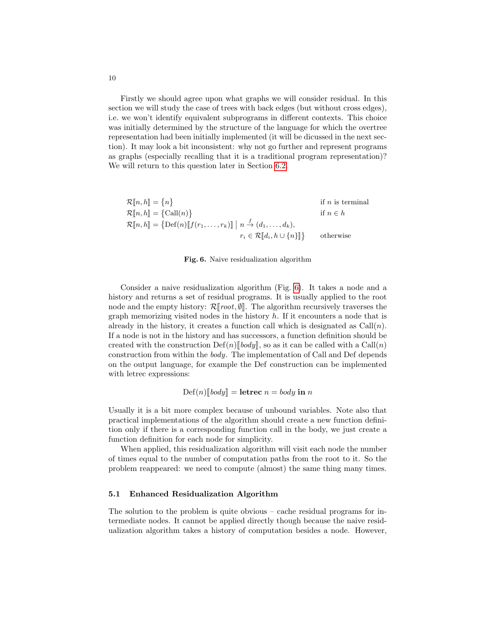Firstly we should agree upon what graphs we will consider residual. In this section we will study the case of trees with back edges (but without cross edges), i.e. we won't identify equivalent subprograms in different contexts. This choice was initially determined by the structure of the language for which the overtree representation had been initially implemented (it will be dicussed in the next section). It may look a bit inconsistent: why not go further and represent programs as graphs (especially recalling that it is a traditional program representation)? We will return to this question later in Section [6.2.](#page-13-0)

| $\mathcal{R}[n, h] = \{n\}$                                                                                             |                                            | if $n$ is terminal |
|-------------------------------------------------------------------------------------------------------------------------|--------------------------------------------|--------------------|
| $\mathcal{R}[\![n,h]\!] = {\text{Call}(n)}$                                                                             |                                            | if $n \in h$       |
| $\mathcal{R}[\![n,h]\!] = \{ \text{Def}(n)[\![f(r_1,\ldots,r_k)]\!] \mid n \stackrel{f}{\rightarrow} (d_1,\ldots,d_k),$ |                                            |                    |
|                                                                                                                         | $r_i \in \mathcal{R}[[d_i, h \cup \{n\}]]$ | otherwise          |
|                                                                                                                         |                                            |                    |

#### <span id="page-9-0"></span>Fig. 6. Naive residualization algorithm

Consider a naive residualization algorithm (Fig. [6\)](#page-9-0). It takes a node and a history and returns a set of residual programs. It is usually applied to the root node and the empty history:  $\mathcal{R}[[\text{root}, \emptyset]]$ . The algorithm recursively traverses the graph memorizing visited nodes in the history  $h$ . If it encounters a node that is already in the history, it creates a function call which is designated as  $Call(n)$ . If a node is not in the history and has successors, a function definition should be created with the construction  $\text{Def}(n)[\text{body}],$  so as it can be called with a  $\text{Call}(n)$ construction from within the body. The implementation of Call and Def depends on the output language, for example the Def construction can be implemented with letrec expressions:

$$
Def(n)[\mathit{body}] = \mathbf{letrec} \; n = \mathit{body} \; \mathbf{in} \; n
$$

Usually it is a bit more complex because of unbound variables. Note also that practical implementations of the algorithm should create a new function definition only if there is a corresponding function call in the body, we just create a function definition for each node for simplicity.

When applied, this residualization algorithm will visit each node the number of times equal to the number of computation paths from the root to it. So the problem reappeared: we need to compute (almost) the same thing many times.

#### 5.1 Enhanced Residualization Algorithm

The solution to the problem is quite obvious – cache residual programs for intermediate nodes. It cannot be applied directly though because the naive residualization algorithm takes a history of computation besides a node. However,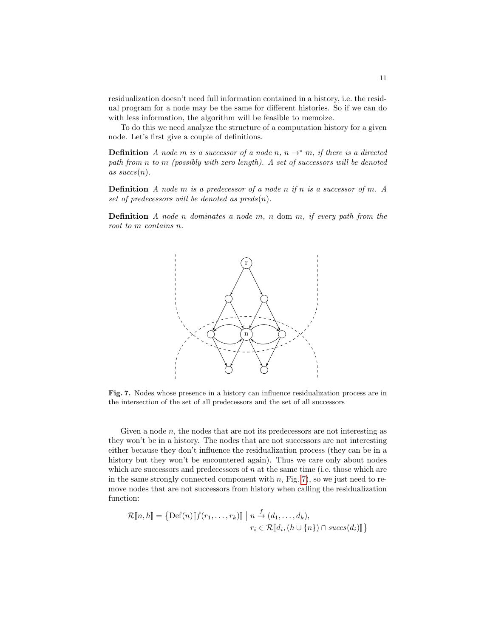residualization doesn't need full information contained in a history, i.e. the residual program for a node may be the same for different histories. So if we can do with less information, the algorithm will be feasible to memoize.

To do this we need analyze the structure of a computation history for a given node. Let's first give a couple of definitions.

**Definition** A node m is a successor of a node n,  $n \rightarrow^* m$ , if there is a directed path from  $n$  to  $m$  (possibly with zero length). A set of successors will be denoted as  $succs(n)$ .

**Definition** A node  $m$  is a predecessor of a node  $n$  if  $n$  is a successor of  $m$ . A set of predecessors will be denoted as  $preds(n)$ .

**Definition** A node *n* dominates a node  $m$ ,  $n$  dom  $m$ , if every path from the root to  $m$  contains  $n$ .



<span id="page-10-0"></span>Fig. 7. Nodes whose presence in a history can influence residualization process are in the intersection of the set of all predecessors and the set of all successors

Given a node  $n$ , the nodes that are not its predecessors are not interesting as they won't be in a history. The nodes that are not successors are not interesting either because they don't influence the residualization process (they can be in a history but they won't be encountered again). Thus we care only about nodes which are successors and predecessors of  $n$  at the same time (i.e. those which are in the same strongly connected component with  $n$ , Fig. [7\)](#page-10-0), so we just need to remove nodes that are not successors from history when calling the residualization function:

$$
\mathcal{R}[\![n,h]\!] = \{ \text{Def}(n)[\![f(r_1,\ldots,r_k)]\!] \mid n \stackrel{f}{\to} (d_1,\ldots,d_k),
$$
  

$$
r_i \in \mathcal{R}[\![d_i,(h \cup \{n\}) \cap succ(s(d_i)]\!]\}
$$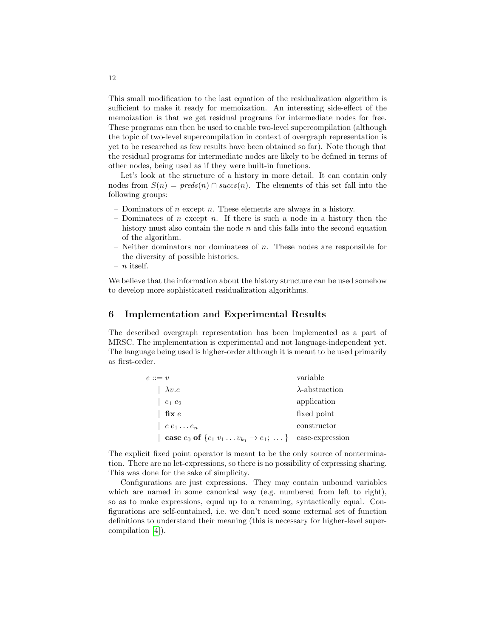This small modification to the last equation of the residualization algorithm is sufficient to make it ready for memoization. An interesting side-effect of the memoization is that we get residual programs for intermediate nodes for free. These programs can then be used to enable two-level supercompilation (although the topic of two-level supercompilation in context of overgraph representation is yet to be researched as few results have been obtained so far). Note though that the residual programs for intermediate nodes are likely to be defined in terms of other nodes, being used as if they were built-in functions.

Let's look at the structure of a history in more detail. It can contain only nodes from  $S(n) = \text{pred}_S(n) \cap \text{succ}_S(n)$ . The elements of this set fall into the following groups:

- Dominators of  $n$  except  $n$ . These elements are always in a history.
- Dominatees of *n* except *n*. If there is such a node in a history then the history must also contain the node  $n$  and this falls into the second equation of the algorithm.
- $-$  Neither dominators nor dominatees of  $n$ . These nodes are responsible for the diversity of possible histories.
- $n$  itself.

We believe that the information about the history structure can be used somehow to develop more sophisticated residualization algorithms.

## 6 Implementation and Experimental Results

The described overgraph representation has been implemented as a part of MRSC. The implementation is experimental and not language-independent yet. The language being used is higher-order although it is meant to be used primarily as first-order.

| $e ::= v$                                                                               | variable               |
|-----------------------------------------------------------------------------------------|------------------------|
| $\lambda v.e$                                                                           | $\lambda$ -abstraction |
| $e_1e_2$                                                                                | application            |
| fix e                                                                                   | fixed point            |
| $\vert \hspace{0.1cm} c \hspace{0.1cm} e_1 \ldots e_n$                                  | constructor            |
| <b>case</b> $e_0$ of $\{c_1 v_1 \dots v_{k_1} \rightarrow e_1; \dots\}$ case-expression |                        |

The explicit fixed point operator is meant to be the only source of nontermination. There are no let-expressions, so there is no possibility of expressing sharing. This was done for the sake of simplicity.

Configurations are just expressions. They may contain unbound variables which are named in some canonical way (e.g. numbered from left to right), so as to make expressions, equal up to a renaming, syntactically equal. Configurations are self-contained, i.e. we don't need some external set of function definitions to understand their meaning (this is necessary for higher-level supercompilation [\[4\]](#page-16-9)).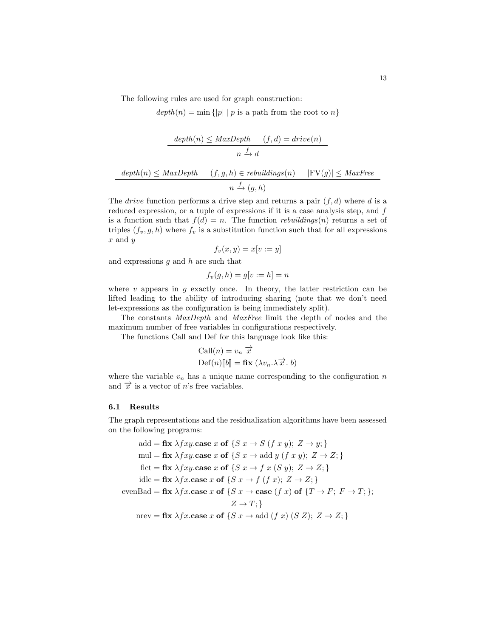The following rules are used for graph construction:

 $depth(n) = min { |p| | p$  is a path from the root to n}

$$
\frac{depth(n) \leq MaxDepth \qquad (f,d) = drive(n)}{n \xrightarrow{f} d}
$$

$$
\frac{depth(n) \leq MaxDepth \qquad (f,g,h) \in rebuildings(n) \qquad |FV(g)| \leq MaxFree}{n \xrightarrow{f} (g,h)}
$$

The *drive* function performs a drive step and returns a pair  $(f, d)$  where d is a reduced expression, or a tuple of expressions if it is a case analysis step, and  $f$ is a function such that  $f(d) = n$ . The function *rebuildings(n)* returns a set of triples  $(f_v, g, h)$  where  $f_v$  is a substitution function such that for all expressions  $x$  and  $y$ 

$$
f_v(x, y) = x[v := y]
$$

and expressions  $q$  and  $h$  are such that

$$
f_v(g, h) = g[v := h] = n
$$

where  $v$  appears in  $g$  exactly once. In theory, the latter restriction can be lifted leading to the ability of introducing sharing (note that we don't need let-expressions as the configuration is being immediately split).

The constants MaxDepth and MaxFree limit the depth of nodes and the maximum number of free variables in configurations respectively.

The functions Call and Def for this language look like this:

Call(*n*) = 
$$
v_n \overrightarrow{x}
$$
  
Def(*n*)[[*b*]] = **fix** ( $\lambda v_n . \lambda \overrightarrow{x}$ . *b*)

where the variable  $v_n$  has a unique name corresponding to the configuration  $n$ and  $\overrightarrow{x}$  is a vector of n's free variables.

### 6.1 Results

The graph representations and the residualization algorithms have been assessed on the following programs:

add = fix 
$$
\lambda fxy
$$
.case  $x$  of  $\{S x \rightarrow S (f x y); Z \rightarrow y;\}$   
\nmul = fix  $\lambda fxy$ .case  $x$  of  $\{S x \rightarrow \text{add } y (f x y); Z \rightarrow Z;\}$   
\nfact = fix  $\lambda fxy$ .case  $x$  of  $\{S x \rightarrow f x (S y); Z \rightarrow Z;\}$   
\nidle = fix  $\lambda f x$ .case  $x$  of  $\{S x \rightarrow f (f x); Z \rightarrow Z;\}$   
\nevenBad = fix  $\lambda f x$ .case  $x$  of  $\{S x \rightarrow \text{case } (f x) \text{ of } \{T \rightarrow F; F \rightarrow T;\}\}$ ;  
\n $Z \rightarrow T;\}$   
\nnprev = fix  $\lambda f x$ .case  $x$  of  $\{S x \rightarrow \text{add } (f x) (S Z); Z \rightarrow Z;\}$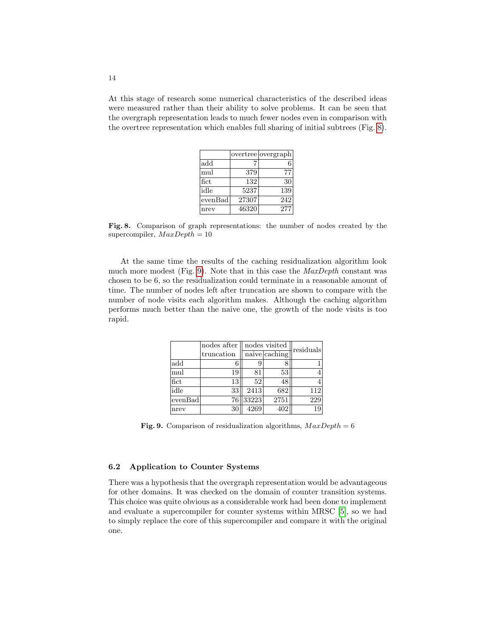At this stage of research some numerical characteristics of the described ideas were measured rather than their ability to solve problems. It can be seen that the overgraph representation leads to much fewer nodes even in comparison with the overtree representation which enables full sharing of initial subtrees (Fig. [8\)](#page-13-1).

|         |       | overtree overgraph |
|---------|-------|--------------------|
| add     |       |                    |
| mul     | 379   | 77                 |
| fict    | 132   | 30                 |
| idle    | 5237  | 139                |
| evenBad | 27307 | 242                |
| nrev    | 46320 | 277                |

<span id="page-13-1"></span>Fig. 8. Comparison of graph representations: the number of nodes created by the supercompiler,  $MaxDepth = 10$ 

At the same time the results of the caching residualization algorithm look much more modest (Fig. [9\)](#page-13-2). Note that in this case the  $MaxDepth$  constant was chosen to be 6, so the residualization could terminate in a reasonable amount of time. The number of nodes left after truncation are shown to compare with the number of node visits each algorithm makes. Although the caching algorithm performs much better than the naive one, the growth of the node visits is too rapid.

|         | nodes after | nodes visited |               | residuals |
|---------|-------------|---------------|---------------|-----------|
|         | truncation  |               | naive caching |           |
| add     |             | 9             |               |           |
| mul     | 19          | 81            | 53            |           |
| fict    | 13          | 52            | 48            |           |
| idle    | 33          | 2413          | 682           | 112       |
| evenBad | 76          | 33223         | 2751          | 229       |
| nrev    | 30          | 4269          | 402           | 19        |

<span id="page-13-2"></span>Fig. 9. Comparison of residualization algorithms,  $MaxDepth = 6$ 

### <span id="page-13-0"></span>6.2 Application to Counter Systems

There was a hypothesis that the overgraph representation would be advantageous for other domains. It was checked on the domain of counter transition systems. This choice was quite obvious as a considerable work had been done to implement and evaluate a supercompiler for counter systems within MRSC [\[5\]](#page-16-10), so we had to simply replace the core of this supercompiler and compare it with the original one.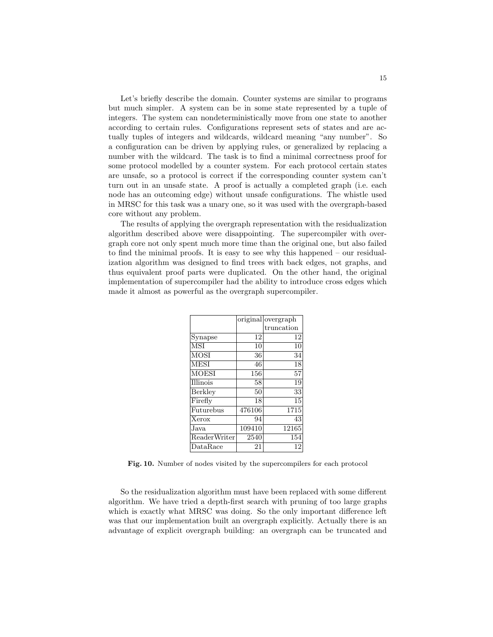Let's briefly describe the domain. Counter systems are similar to programs but much simpler. A system can be in some state represented by a tuple of integers. The system can nondeterministically move from one state to another according to certain rules. Configurations represent sets of states and are actually tuples of integers and wildcards, wildcard meaning "any number". So a configuration can be driven by applying rules, or generalized by replacing a number with the wildcard. The task is to find a minimal correctness proof for some protocol modelled by a counter system. For each protocol certain states are unsafe, so a protocol is correct if the corresponding counter system can't turn out in an unsafe state. A proof is actually a completed graph (i.e. each node has an outcoming edge) without unsafe configurations. The whistle used in MRSC for this task was a unary one, so it was used with the overgraph-based core without any problem.

The results of applying the overgraph representation with the residualization algorithm described above were disappointing. The supercompiler with overgraph core not only spent much more time than the original one, but also failed to find the minimal proofs. It is easy to see why this happened – our residualization algorithm was designed to find trees with back edges, not graphs, and thus equivalent proof parts were duplicated. On the other hand, the original implementation of supercompiler had the ability to introduce cross edges which made it almost as powerful as the overgraph supercompiler.

|                               |        | original overgraph |
|-------------------------------|--------|--------------------|
|                               |        | truncation         |
| Synapse                       | 12     | 12                 |
| $\overline{\text{MSI}}$       | 10     | 10                 |
| $\overline{\mathrm{MOSI}}$    | 36     | 34                 |
| $\overline{\mathrm{MES}}$ I   | 46     | 18                 |
| $\overline{\text{MOESI}}$     | 156    | 57                 |
| $\overline{\rm Illinois}$     | 58     | 19                 |
| Berkley                       | 50     | 33                 |
| $\overline{\text{F} }$ irefly | 18     | 15                 |
| Futurebus                     | 476106 | 1715               |
| Xerox                         | 94     | 43                 |
| Java                          | 109410 | 12165              |
| ReaderWriter                  | 2540   | 154                |
| $\rm Data Race$               | 21     | 12                 |
|                               |        |                    |

<span id="page-14-0"></span>Fig. 10. Number of nodes visited by the supercompilers for each protocol

So the residualization algorithm must have been replaced with some different algorithm. We have tried a depth-first search with pruning of too large graphs which is exactly what MRSC was doing. So the only important difference left was that our implementation built an overgraph explicitly. Actually there is an advantage of explicit overgraph building: an overgraph can be truncated and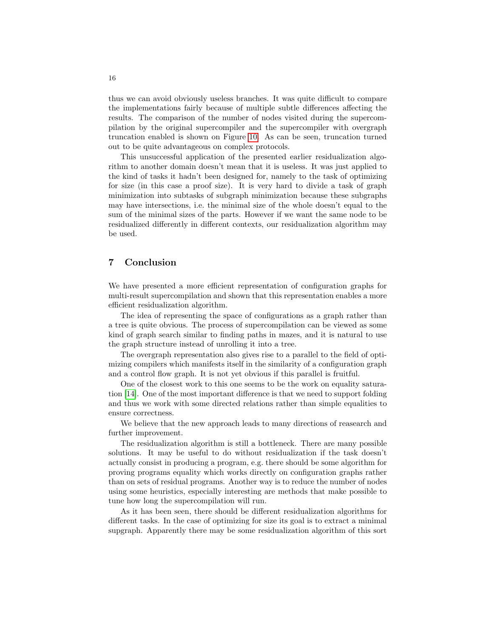thus we can avoid obviously useless branches. It was quite difficult to compare the implementations fairly because of multiple subtle differences affecting the results. The comparison of the number of nodes visited during the supercompilation by the original supercompiler and the supercompiler with overgraph truncation enabled is shown on Figure [10.](#page-14-0) As can be seen, truncation turned out to be quite advantageous on complex protocols.

This unsuccessful application of the presented earlier residualization algorithm to another domain doesn't mean that it is useless. It was just applied to the kind of tasks it hadn't been designed for, namely to the task of optimizing for size (in this case a proof size). It is very hard to divide a task of graph minimization into subtasks of subgraph minimization because these subgraphs may have intersections, i.e. the minimal size of the whole doesn't equal to the sum of the minimal sizes of the parts. However if we want the same node to be residualized differently in different contexts, our residualization algorithm may be used.

### 7 Conclusion

We have presented a more efficient representation of configuration graphs for multi-result supercompilation and shown that this representation enables a more efficient residualization algorithm.

The idea of representing the space of configurations as a graph rather than a tree is quite obvious. The process of supercompilation can be viewed as some kind of graph search similar to finding paths in mazes, and it is natural to use the graph structure instead of unrolling it into a tree.

The overgraph representation also gives rise to a parallel to the field of optimizing compilers which manifests itself in the similarity of a configuration graph and a control flow graph. It is not yet obvious if this parallel is fruitful.

One of the closest work to this one seems to be the work on equality saturation [\[14\]](#page-17-1). One of the most important difference is that we need to support folding and thus we work with some directed relations rather than simple equalities to ensure correctness.

We believe that the new approach leads to many directions of reasearch and further improvement.

The residualization algorithm is still a bottleneck. There are many possible solutions. It may be useful to do without residualization if the task doesn't actually consist in producing a program, e.g. there should be some algorithm for proving programs equality which works directly on configuration graphs rather than on sets of residual programs. Another way is to reduce the number of nodes using some heuristics, especially interesting are methods that make possible to tune how long the supercompilation will run.

As it has been seen, there should be different residualization algorithms for different tasks. In the case of optimizing for size its goal is to extract a minimal supgraph. Apparently there may be some residualization algorithm of this sort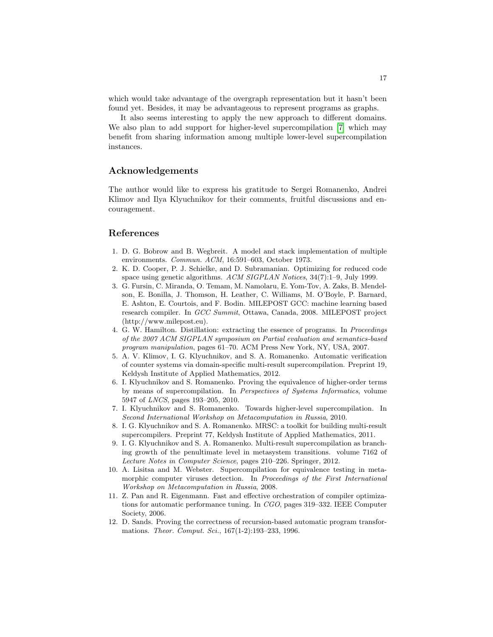which would take advantage of the overgraph representation but it hasn't been found yet. Besides, it may be advantageous to represent programs as graphs.

It also seems interesting to apply the new approach to different domains. We also plan to add support for higher-level supercompilation [\[7\]](#page-16-11) which may benefit from sharing information among multiple lower-level supercompilation instances.

# Acknowledgements

The author would like to express his gratitude to Sergei Romanenko, Andrei Klimov and Ilya Klyuchnikov for their comments, fruitful discussions and encouragement.

## References

- <span id="page-16-7"></span>1. D. G. Bobrow and B. Wegbreit. A model and stack implementation of multiple environments. Commun. ACM, 16:591–603, October 1973.
- <span id="page-16-2"></span>2. K. D. Cooper, P. J. Schielke, and D. Subramanian. Optimizing for reduced code space using genetic algorithms. ACM SIGPLAN Notices, 34(7):1–9, July 1999.
- <span id="page-16-3"></span>3. G. Fursin, C. Miranda, O. Temam, M. Namolaru, E. Yom-Tov, A. Zaks, B. Mendelson, E. Bonilla, J. Thomson, H. Leather, C. Williams, M. O'Boyle, P. Barnard, E. Ashton, E. Courtois, and F. Bodin. MILEPOST GCC: machine learning based research compiler. In GCC Summit, Ottawa, Canada, 2008. MILEPOST project (http://www.milepost.eu).
- <span id="page-16-9"></span>4. G. W. Hamilton. Distillation: extracting the essence of programs. In Proceedings of the 2007 ACM SIGPLAN symposium on Partial evaluation and semantics-based program manipulation, pages 61–70. ACM Press New York, NY, USA, 2007.
- <span id="page-16-10"></span>5. A. V. Klimov, I. G. Klyuchnikov, and S. A. Romanenko. Automatic verification of counter systems via domain-specific multi-result supercompilation. Preprint 19, Keldysh Institute of Applied Mathematics, 2012.
- <span id="page-16-0"></span>6. I. Klyuchnikov and S. Romanenko. Proving the equivalence of higher-order terms by means of supercompilation. In Perspectives of Systems Informatics, volume 5947 of LNCS, pages 193–205, 2010.
- <span id="page-16-11"></span>7. I. Klyuchnikov and S. Romanenko. Towards higher-level supercompilation. In Second International Workshop on Metacomputation in Russia, 2010.
- <span id="page-16-6"></span>8. I. G. Klyuchnikov and S. A. Romanenko. MRSC: a toolkit for building multi-result supercompilers. Preprint 77, Keldysh Institute of Applied Mathematics, 2011.
- <span id="page-16-5"></span>9. I. G. Klyuchnikov and S. A. Romanenko. Multi-result supercompilation as branching growth of the penultimate level in metasystem transitions. volume 7162 of Lecture Notes in Computer Science, pages 210–226. Springer, 2012.
- <span id="page-16-1"></span>10. A. Lisitsa and M. Webster. Supercompilation for equivalence testing in metamorphic computer viruses detection. In Proceedings of the First International Workshop on Metacomputation in Russia, 2008.
- <span id="page-16-4"></span>11. Z. Pan and R. Eigenmann. Fast and effective orchestration of compiler optimizations for automatic performance tuning. In CGO, pages 319–332. IEEE Computer Society, 2006.
- <span id="page-16-8"></span>12. D. Sands. Proving the correctness of recursion-based automatic program transformations. Theor. Comput. Sci., 167(1-2):193–233, 1996.